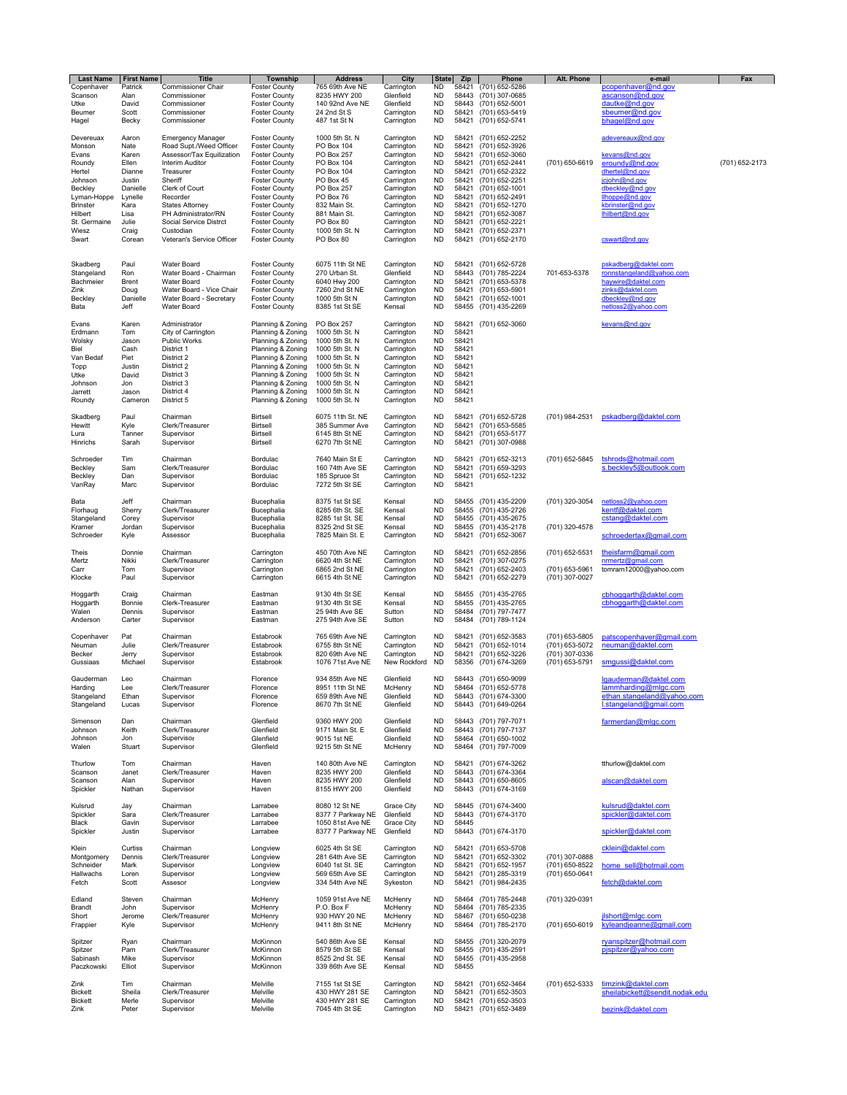| <b>Last Name</b>           | <b>First Name</b> | <b>Title</b>                                        | <b>Township</b>                              | <b>Address</b>                        | <b>City</b>              | <b>State</b>           | Zip            | Phone                                        | Alt. Phone                       | e-mail                              | Fax            |
|----------------------------|-------------------|-----------------------------------------------------|----------------------------------------------|---------------------------------------|--------------------------|------------------------|----------------|----------------------------------------------|----------------------------------|-------------------------------------|----------------|
| Copenhaver                 | Patrick           | Commissioner Chair                                  | <b>Foster County</b>                         | 765 69th Ave NE                       | Carrington               | <b>ND</b>              |                | 58421 (701) 652-5286                         |                                  | pcopenhaver@nd.gov                  |                |
| Scanson                    | Alan              | Commissioner                                        | <b>Foster County</b>                         | 8235 HWY 200                          | Glenfield                | <b>ND</b>              |                | 58443 (701) 307-0685                         |                                  | ascanson@nd.gov                     |                |
| Utke                       | David             | Commissioner                                        | <b>Foster County</b>                         | 140 92nd Ave NE                       | Glenfield                | <b>ND</b>              |                | 58443 (701) 652-5001                         |                                  | dautke@nd.gov                       |                |
| Beumer<br>Hagel            | Scott<br>Becky    | Commissioner<br>Commissioner                        | <b>Foster County</b><br><b>Foster County</b> | 24 2nd St S<br>487 1st St N           | Carrington<br>Carrington | <b>ND</b><br><b>ND</b> |                | 58421 (701) 653-5419<br>58421 (701) 652-5741 |                                  | sbeumer@nd.gov<br>bhagel@nd.gov     |                |
|                            |                   |                                                     |                                              |                                       |                          |                        |                |                                              |                                  |                                     |                |
| Devereuax                  | Aaron             | <b>Emergency Manager</b>                            | <b>Foster County</b>                         | 1000 5th St. N                        | Carrington               | <b>ND</b>              |                | 58421 (701) 652-2252                         |                                  | adevereaux@nd.gov                   |                |
| Monson                     | Nate              | Road Supt./Weed Officer                             | <b>Foster County</b>                         | PO Box 104                            | Carrington               | <b>ND</b>              | 58421          | (701) 652-3926                               |                                  |                                     |                |
| Evans<br>Roundy            | Karen<br>Ellen    | Assessor/Tax Equilization<br>Interim Auditor        | <b>Foster County</b><br><b>Foster County</b> | PO Box 257<br>PO Box 104              | Carrington<br>Carrington | <b>ND</b><br><b>ND</b> | 58421<br>58421 | (701) 652-3060<br>(701) 652-2441             | (701) 650-6619                   | kevans@nd.gov<br>eroundy@nd.gov     | (701) 652-2173 |
| Hertel                     | Dianne            | Treasurer                                           | <b>Foster County</b>                         | PO Box 104                            | Carrington               | <b>ND</b>              | 58421          | (701) 652-2322                               |                                  | dhertel@nd.gov                      |                |
| Johnson                    | Justin            | Sheriff                                             | <b>Foster County</b>                         | PO Box 45                             | Carrington               | <b>ND</b>              | 58421          | (701) 652-2251                               |                                  | jcjohn@nd.gov                       |                |
| Beckley                    | Danielle          | Clerk of Court                                      | <b>Foster County</b>                         | PO Box 257                            | Carrington               | <b>ND</b>              | 58421          | (701) 652-1001                               |                                  | dbeckley@nd.gov                     |                |
| Lyman-Hoppe                | Lynelle           | Recorder                                            | <b>Foster County</b>                         | PO Box 76                             | Carrington               | <b>ND</b>              | 58421          | (701) 652-2491                               |                                  | llhoppe@nd.gov<br>kbrinster@nd.gov  |                |
| <b>Brinster</b><br>Hilbert | Kara<br>Lisa      | <b>States Attorney</b><br>PH Administrator/RN       | <b>Foster County</b><br><b>Foster County</b> | 832 Main St.<br>881 Main St.          | Carrington<br>Carrington | <b>ND</b><br><b>ND</b> | 58421<br>58421 | (701) 652-1270<br>(701) 652-3087             |                                  | lhilbert@nd.gov                     |                |
| St. Germaine               | Julie             | Social Service Distrct                              | <b>Foster County</b>                         | PO Box 80                             | Carrington               | <b>ND</b>              | 58421          | (701) 652-2221                               |                                  |                                     |                |
| Wiesz                      | Craig             | Custodian                                           | <b>Foster County</b>                         | 1000 5th St. N                        | Carrington               | <b>ND</b>              | 58421          | (701) 652-2371                               |                                  |                                     |                |
| Swart                      | Corean            | Veteran's Service Officer                           | <b>Foster County</b>                         | PO Box 80                             | Carrington               | <b>ND</b>              |                | 58421 (701) 652-2170                         |                                  | cswart@nd.gov                       |                |
|                            |                   |                                                     |                                              |                                       |                          |                        |                |                                              |                                  |                                     |                |
| Skadberg                   | Paul              | Water Board                                         | <b>Foster County</b>                         | 6075 11th St NE                       | Carrington               | <b>ND</b>              |                | 58421 (701) 652-5728                         |                                  | pskadberg@daktel.com                |                |
| Stangeland                 | Ron               | Water Board - Chairman                              | <b>Foster County</b>                         | 270 Urban St.                         | Glenfield                | <b>ND</b>              |                | 58443 (701) 785-2224                         | 701-653-5378                     | ronnstangeland@yahoo.com            |                |
| Bachmeier                  | Brent             | Water Board                                         | <b>Foster County</b>                         | 6040 Hwy 200                          | Carrington               | <b>ND</b>              | 58421          | (701) 653-5378                               |                                  | haywire@daktel.com                  |                |
| Zink<br>Beckley            | Doug<br>Danielle  | Water Board - Vice Chair<br>Water Board - Secretary | <b>Foster County</b><br><b>Foster County</b> | 7260 2nd St NE<br>1000 5th St N       | Carrington<br>Carrington | <b>ND</b><br><b>ND</b> | 58421          | (701) 653-5901<br>58421 (701) 652-1001       |                                  | zinks@daktel.com<br>dbeckley@nd.gov |                |
| Bata                       | Jeff              | Water Board                                         | <b>Foster County</b>                         | 8385 1st St SE                        | Kensal                   | <b>ND</b>              |                | 58455 (701) 435-2269                         |                                  | netloss2@yahoo.com                  |                |
|                            |                   |                                                     |                                              |                                       |                          |                        |                |                                              |                                  |                                     |                |
| Evans<br>Erdmann           | Karen<br>Tom      | Administrator<br>City of Carrington                 | Planning & Zoning<br>Planning & Zoning       | PO Box 257<br>1000 5th St. N          | Carrington<br>Carrington | <b>ND</b><br><b>ND</b> | 58421          | 58421 (701) 652-3060                         |                                  | kevans@nd.gov                       |                |
| Wolsky                     | Jason             | Public Works                                        | Planning & Zoning                            | 1000 5th St. N                        | Carrington               | <b>ND</b>              | 58421          |                                              |                                  |                                     |                |
| Biel                       | Cash              | District 1                                          | Planning & Zoning                            | 1000 5th St. N                        | Carrington               | <b>ND</b>              | 58421          |                                              |                                  |                                     |                |
| Van Bedaf                  | Piet              | District 2                                          | Planning & Zoning                            | 1000 5th St. N                        | Carrington               | <b>ND</b>              | 58421          |                                              |                                  |                                     |                |
| Topp                       | Justin            | District 2                                          | Planning & Zoning                            | 1000 5th St. N<br>1000 5th St. N      | Carrington               | <b>ND</b><br><b>ND</b> | 58421<br>58421 |                                              |                                  |                                     |                |
| Utke<br>Johnson            | David<br>Jon      | District 3<br>District 3                            | Planning & Zoning<br>Planning & Zoning       | 1000 5th St. N                        | Carrington<br>Carrington | <b>ND</b>              | 58421          |                                              |                                  |                                     |                |
| Jarrett                    | Jason             | District 4                                          | Planning & Zoning                            | 1000 5th St. N                        | Carrington               | <b>ND</b>              | 58421          |                                              |                                  |                                     |                |
| Roundy                     | Cameron           | District 5                                          | Planning & Zoning                            | 1000 5th St. N                        | Carrington               | <b>ND</b>              | 58421          |                                              |                                  |                                     |                |
| Skadberg                   | Paul              | Chairman                                            | Birtsell                                     | 6075 11th St. NE                      | Carrington               | <b>ND</b>              | 58421          | (701) 652-5728                               | (701) 984-2531                   | pskadberg@daktel.com                |                |
| Hewitt                     | Kyle              | Clerk/Treasurer                                     | Birtsell                                     | 385 Summer Ave                        | Carrington               | <b>ND</b>              | 58421          | (701) 653-5585                               |                                  |                                     |                |
| Lura                       | Tanner            | Supervisor                                          | Birtsell                                     | 6145 8th St NE                        | Carrington               | <b>ND</b>              | 58421          | (701) 653-5177                               |                                  |                                     |                |
| Hinrichs                   | Sarah             | Supervisor                                          | Birtsell                                     | 6270 7th St NE                        | Carrington               | <b>ND</b>              |                | 58421 (701) 307-0988                         |                                  |                                     |                |
|                            |                   |                                                     |                                              | 7640 Main St E                        |                          |                        |                | 58421 (701) 652-3213                         | (701) 652-5845                   | tshrods@hotmail.com                 |                |
| Schroeder<br>Beckley       | Tim<br>Sam        | Chairman<br>Clerk/Treasurer                         | Bordulac<br>Bordulac                         | 160 74th Ave SE                       | Carrington<br>Carrington | <b>ND</b><br><b>ND</b> | 58421          | (701) 659-3293                               |                                  | s.beckley5@outlook.com              |                |
| Beckley                    | Dan               | Supervisor                                          | Bordulac                                     | 185 Spruce St                         | Carrington               | <b>ND</b>              | 58421          | (701) 652-1232                               |                                  |                                     |                |
| VanRay                     | Marc              | Supervisor                                          | Bordulac                                     | 7272 5th St SE                        | Carrington               | <b>ND</b>              | 58421          |                                              |                                  |                                     |                |
| Bata                       | Jeff              | Chairman                                            | Bucephalia                                   | 8375 1st St SE                        | Kensal                   | <b>ND</b>              | 58455          | (701) 435-2209                               | (701) 320-3054                   | netloss2@yahoo.com                  |                |
| Florhaug                   | Sherry            | Clerk/Treasurer                                     | Bucephalia                                   | 8285 6th St. SE                       | Kensal                   | <b>ND</b>              |                | 58455 (701) 435-2726                         |                                  | kentf@daktel.com                    |                |
| Stangeland                 | Corey             | Supervisor                                          | Bucephalia                                   | 8285 1st St. SE                       | Kensal                   | <b>ND</b>              |                | 58455 (701) 435-2675                         |                                  | cstang@daktel.com                   |                |
| Kramer                     | Jordan            | Supervisor                                          | Bucephalia                                   | 8325 2nd St SE                        | Kensal                   | <b>ND</b>              |                | 58455 (701) 435-2178                         | (701) 320-4578                   |                                     |                |
| Schroeder                  | Kyle              | Assessor                                            | Bucephalia                                   | 7825 Main St. E                       | Carrington               | <b>ND</b>              |                | 58421 (701) 652-3067                         |                                  | schroedertax@gmail.com              |                |
| Theis                      | Donnie            | Chairman                                            | Carrington                                   | 450 70th Ave NE                       | Carrington               | <b>ND</b>              |                | 58421 (701) 652-2856                         | (701) 652-5531                   | theisfarm@gmail.com                 |                |
| Mertz                      | Nikki             | Clerk/Treasurer                                     | Carrington                                   | 6620 4th St NE                        | Carrington               | <b>ND</b>              | 58421          | (701) 307-0275                               |                                  | nrmertz@gmail.com                   |                |
| Carr                       | Tom               | Supervisor                                          | Carrington                                   | 6865 2nd St NE                        | Carrington               | <b>ND</b>              | 58421          | (701) 652-2403                               | (701) 653-5961                   | tomram12000@yahoo.com               |                |
| Klocke                     | Paul              | Supervisor                                          | Carrington                                   | 6615 4th St NE                        | Carrington               | <b>ND</b>              | 58421          | (701) 652-2279                               | (701) 307-0027                   |                                     |                |
| Hoggarth                   | Craig             | Chairman                                            | Eastman                                      | 9130 4th St SE                        | Kensal                   | <b>ND</b>              | 58455          | (701) 435-2765                               |                                  | cbhoggarth@daktel.com               |                |
| Hoggarth                   | Bonnie            | Clerk-Treasurer                                     | Eastman                                      | 9130 4th St SE                        | Kensal                   | <b>ND</b>              | 58455          | (701) 435-2765                               |                                  | cbhoggarth@daktel.com               |                |
| Walen                      | Dennis            | Supervisor                                          | Eastman                                      | 25 94th Ave SE                        | Sutton                   | <b>ND</b>              | 58484          | (701) 797-7477                               |                                  |                                     |                |
| Anderson                   | Carter            | Supervisor                                          | Eastman                                      | 275 94th Ave SE                       | Sutton                   | <b>ND</b>              |                | 58484 (701) 789-1124                         |                                  |                                     |                |
| Copenhaver                 | Pat               | Chairman                                            | Estabrook                                    | 765 69th Ave NE                       | Carrington               | <b>ND</b>              |                | 58421 (701) 652-3583                         | (701) 653-5805                   | patscopenhaver@gmail.com            |                |
| Neuman                     | Julie             | Clerk/Treasurer                                     | Estabrook                                    | 6755 8th St NE                        | Carrington               | <b>ND</b>              | 58421          | (701) 652-1014                               | (701) 653-5072                   | neuman@daktel.com                   |                |
| Becker                     | Jerry             | Supervisor                                          | Estabrook                                    | 820 69th Ave NE                       | Carrington               | <b>ND</b>              | 58421          | (701) 652-3226                               | (701) 307-0336                   |                                     |                |
| Gussiaas                   | Michael           | Supervisor                                          | Estabrook                                    | 1076 71st Ave NE                      | New Rockford             | <b>ND</b>              |                | 58356 (701) 674-3269                         | (701) 653-5791                   | smqussi@daktel.com                  |                |
| Gauderman                  | Leo               | Chairman                                            | Florence                                     | 934 85th Ave NE                       | Glenfield                | <b>ND</b>              |                | 58443 (701) 650-9099                         |                                  | lgauderman@daktel.com               |                |
| Harding                    | Lee               | Clerk/Treasurer                                     | Florence                                     | 8951 11th St NE                       | McHenry                  | <b>ND</b>              |                | 58464 (701) 652-5778                         |                                  | lammharding@mlgc.com                |                |
| Stangeland                 | Ethan             | Supervisor                                          | Florence<br>Florence                         | 659 89th Ave NE<br>8670 7th St NE     | Glenfield                | <b>ND</b>              |                | 58443 (701) 674-3300                         |                                  | ethan.stangeland@yahoo.com          |                |
| Stangeland                 | Lucas             | Supervisor                                          |                                              |                                       | Glenfield                | <b>ND</b>              |                | 58443 (701) 649-0264                         |                                  | l.stangeland@gmail.com              |                |
| Simenson                   | Dan               | Chairman                                            | Glenfield                                    | 9360 HWY 200                          | Glenfield                | <b>ND</b>              |                | 58443 (701) 797-7071                         |                                  | farmerdan@mlgc.com                  |                |
| Johnson                    | Keith             | Clerk/Treasurer                                     | Glenfield                                    | 9171 Main St. E                       | Glenfield                | <b>ND</b>              |                | 58443 (701) 797-7137                         |                                  |                                     |                |
| Johnson<br>Walen           | Jon<br>Stuart     | Supervisor<br>Supervisor                            | Glenfield<br>Glenfield                       | 9015 1st NE<br>9215 5th St NE         | Glenfield<br>McHenry     | <b>ND</b><br><b>ND</b> | 58464<br>58464 | (701) 650-1002<br>(701) 797-7009             |                                  |                                     |                |
|                            |                   |                                                     |                                              |                                       |                          |                        |                |                                              |                                  |                                     |                |
| Thurlow                    | Tom               | Chairman                                            | Haven                                        | 140 80th Ave NE                       | Carrington               | <b>ND</b>              | 58421          | (701) 674-3262                               |                                  | tthurlow@daktel.com                 |                |
| Scanson                    | Janet             | Clerk/Treasurer                                     | Haven                                        | 8235 HWY 200                          | Glenfield                | <b>ND</b>              | 58443          | (701) 674-3364                               |                                  |                                     |                |
| Scanson<br>Spickler        | Alan<br>Nathan    | Supervisor<br>Supervisor                            | Haven<br>Haven                               | 8235 HWY 200<br>8155 HWY 200          | Glenfield<br>Glenfield   | <b>ND</b><br><b>ND</b> | 58443<br>58443 | (701) 650-8605<br>(701) 674-3169             |                                  | alscan@daktel.com                   |                |
|                            |                   |                                                     |                                              |                                       |                          |                        |                |                                              |                                  |                                     |                |
| Kulsrud                    | Jay               | Chairman                                            | Larrabee                                     | 8080 12 St NE                         | Grace City               | <b>ND</b>              | 58445          | (701) 674-3400                               |                                  | kulsrud@daktel.com                  |                |
| Spickler<br>Black          | Sara<br>Gavin     | Clerk/Treasurer<br>Supervisor                       | Larrabee<br>Larrabee                         | 8377 7 Parkway NE<br>1050 81st Ave NE | Glenfield<br>Grace City  | <b>ND</b><br><b>ND</b> | 58443<br>58445 | (701) 674-3170                               |                                  | spickler@daktel.com                 |                |
| Spickler                   | Justin            | Supervisor                                          | Larrabee                                     | 8377 7 Parkway NE                     | Glenfield                | <b>ND</b>              |                | 58443 (701) 674-3170                         |                                  | spickler@daktel.com                 |                |
|                            |                   |                                                     |                                              |                                       |                          |                        |                |                                              |                                  |                                     |                |
| Klein                      | Curtiss           | Chairman                                            | Longview                                     | 6025 4th St SE                        | Carrington               | <b>ND</b>              | 58421          | (701) 653-5708                               |                                  | cklein@daktel.com                   |                |
| Montgomery<br>Schneider    | Dennis<br>Mark    | Clerk/Treasurer<br>Supervisor                       | Longview<br>Longview                         | 281 64th Ave SE<br>6040 1st St. SE    | Carrington<br>Carrington | <b>ND</b><br><b>ND</b> | 58421<br>58421 | (701) 652-3302<br>(701) 652-1957             | (701) 307-0888<br>(701) 650-8522 | home sell@hotmail.com               |                |
| Hallwachs                  | Loren             | Supervisor                                          | Longview                                     | 569 65th Ave SE                       | Carrington               | <b>ND</b>              | 58421          | (701) 285-3319                               | (701) 650-0641                   |                                     |                |
| Fetch                      | Scott             | Assesor                                             | Longview                                     | 334 54th Ave NE                       | Sykeston                 | <b>ND</b>              |                | 58421 (701) 984-2435                         |                                  | fetch@daktel.com                    |                |
|                            | Steven            | Chairman                                            | McHenry                                      | 1059 91st Ave NE                      | McHenry                  | <b>ND</b>              | 58464          | (701) 785-2448                               | (701) 320-0391                   |                                     |                |
| Edland<br>Brandt           | John              | Supervisor                                          | McHenry                                      | P.O. Box F                            | McHenry                  | <b>ND</b>              | 58464          | (701) 785-2335                               |                                  |                                     |                |
| Short                      | Jerome            | Clerk/Treasurer                                     | McHenry                                      | 930 HWY 20 NE                         | McHenry                  | <b>ND</b>              | 58467          | (701) 650-0238                               |                                  | jlshort@mlgc.com                    |                |
| Frappier                   | Kyle              | Supervisor                                          | McHenry                                      | 9411 8th St NE                        | McHenry                  | <b>ND</b>              |                | 58464 (701) 785-2170                         | (701) 650-6019                   | kyleandjeanne@gmail.com             |                |
| Spitzer                    | Ryan              | Chairman                                            | McKinnon                                     | 540 86th Ave SE                       | Kensal                   | <b>ND</b>              |                | 58455 (701) 320-2079                         |                                  | ryanspitzer@hotmail.com             |                |
| Spitzer                    | Pam               | Clerk/Treasurer                                     | McKinnon                                     | 8579 5th St SE                        | Kensal                   | <b>ND</b>              | 58455          | (701) 435-2591                               |                                  | pispitzer@yahoo.com                 |                |
| Sabinash                   | Mike              | Supervisor                                          | McKinnon                                     | 8525 2nd St. SE                       | Kensal                   | <b>ND</b>              | 58455          | (701) 435-2958                               |                                  |                                     |                |
| Paczkowski                 | Elliot            | Supervisor                                          | McKinnon                                     | 339 86th Ave SE                       | Kensal                   | <b>ND</b>              | 58455          |                                              |                                  |                                     |                |
| Zink                       | Tim               | Chairman                                            | Melville                                     | 7155 1st St SE                        | Carrington               | <b>ND</b>              |                | 58421 (701) 652-3464                         | (701) 652-5333                   | timzink@daktel.com                  |                |
| <b>Bickett</b>             | Sheila            | Clerk/Treasurer                                     | Melville                                     | 430 HWY 281 SE                        | Carrington               | <b>ND</b>              | 58421          | (701) 652-3503                               |                                  | sheilabickett@sendit.nodak.edu      |                |
| <b>Bickett</b>             | Merle             | Supervisor                                          | Melville                                     | 430 HWY 281 SE                        | Carrington               | <b>ND</b>              | 58421          | (701) 652-3503<br>58421 (701) 652-3489       |                                  | bezink@daktel.com                   |                |
| Zink                       | Peter             | Supervisor                                          | Melville                                     | 7045 4th St SE                        | Carrington               | <b>ND</b>              |                |                                              |                                  |                                     |                |